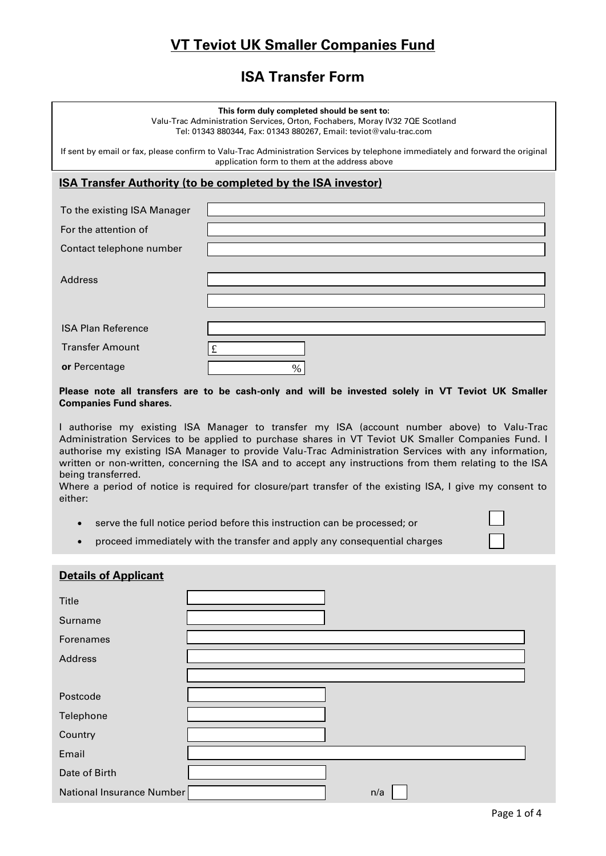# **VT Teviot UK Smaller Companies Fund**

## **ISA Transfer Form**

#### **This form duly completed should be sent to:**

Valu-Trac Administration Services, Orton, Fochabers, Moray IV32 7QE Scotland Tel: 01343 880344, Fax: 01343 880267, Email: teviot@valu-trac.com

If sent by email or fax, please confirm to Valu-Trac Administration Services by telephone immediately and forward the original application form to them at the address above

#### **ISA Transfer Authority (to be completed by the ISA investor)**

| To the existing ISA Manager |      |
|-----------------------------|------|
| For the attention of        |      |
| Contact telephone number    |      |
|                             |      |
| <b>Address</b>              |      |
|                             |      |
|                             |      |
| <b>ISA Plan Reference</b>   |      |
| <b>Transfer Amount</b>      | £    |
| or Percentage               | $\%$ |

#### **Please note all transfers are to be cash-only and will be invested solely in VT Teviot UK Smaller Companies Fund shares.**

I authorise my existing ISA Manager to transfer my ISA (account number above) to Valu-Trac Administration Services to be applied to purchase shares in VT Teviot UK Smaller Companies Fund. I authorise my existing ISA Manager to provide Valu-Trac Administration Services with any information, written or non-written, concerning the ISA and to accept any instructions from them relating to the ISA being transferred.

Where a period of notice is required for closure/part transfer of the existing ISA, I give my consent to either:

- serve the full notice period before this instruction can be processed; or
- proceed immediately with the transfer and apply any consequential charges

#### **Details of Applicant**

| Title                     |  |     |
|---------------------------|--|-----|
| Surname                   |  |     |
| Forenames                 |  |     |
| Address                   |  |     |
|                           |  |     |
| Postcode                  |  |     |
| Telephone                 |  |     |
| Country                   |  |     |
| Email                     |  |     |
| Date of Birth             |  |     |
| National Insurance Number |  | n/a |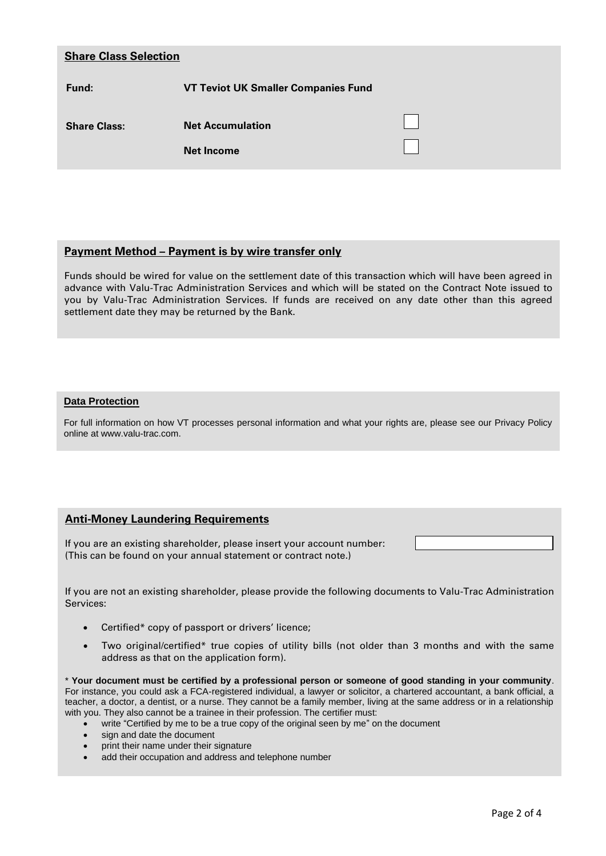| <b>Share Class Selection</b> |                                              |  |
|------------------------------|----------------------------------------------|--|
| Fund:                        | <b>VT Teviot UK Smaller Companies Fund</b>   |  |
| <b>Share Class:</b>          | <b>Net Accumulation</b><br><b>Net Income</b> |  |

#### **Payment Method – Payment is by wire transfer only**

Funds should be wired for value on the settlement date of this transaction which will have been agreed in advance with Valu-Trac Administration Services and which will be stated on the Contract Note issued to you by Valu-Trac Administration Services. If funds are received on any date other than this agreed settlement date they may be returned by the Bank.

#### **Data Protection**

For full information on how VT processes personal information and what your rights are, please see our Privacy Policy online at www.valu-trac.com.

#### **Anti-Money Laundering Requirements**

If you are an existing shareholder, please insert your account number: (This can be found on your annual statement or contract note.)

If you are not an existing shareholder, please provide the following documents to Valu-Trac Administration Services:

- Certified\* copy of passport or drivers' licence;
- Two original/certified\* true copies of utility bills (not older than 3 months and with the same address as that on the application form).

\* **Your document must be certified by a professional person or someone of good standing in your community**. For instance, you could ask a FCA-registered individual, a lawyer or solicitor, a chartered accountant, a bank official, a teacher, a doctor, a dentist, or a nurse. They cannot be a family member, living at the same address or in a relationship with you. They also cannot be a trainee in their profession. The certifier must:

- write "Certified by me to be a true copy of the original seen by me" on the document
- sign and date the document
- print their name under their signature
- add their occupation and address and telephone number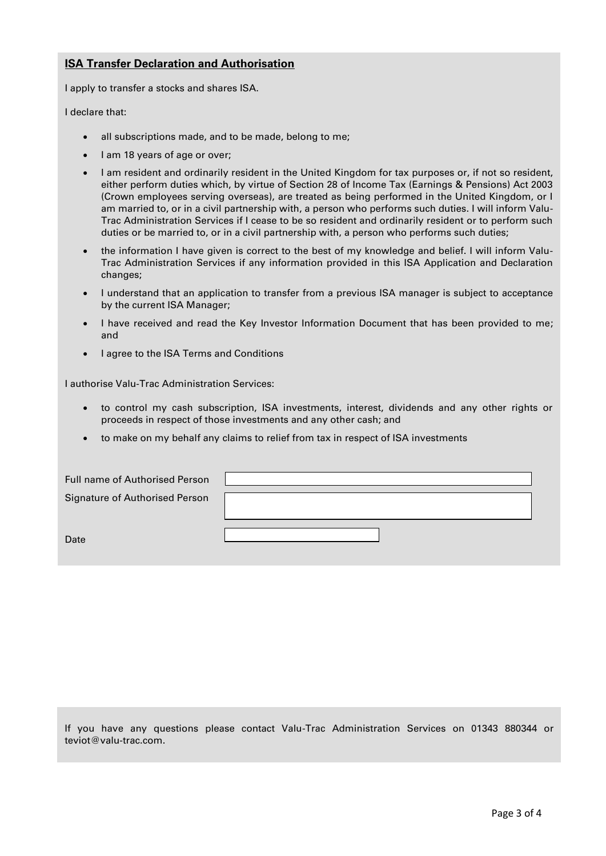### **ISA Transfer Declaration and Authorisation**

I apply to transfer a stocks and shares ISA.

I declare that:

- all subscriptions made, and to be made, belong to me;
- I am 18 years of age or over;
- I am resident and ordinarily resident in the United Kingdom for tax purposes or, if not so resident, either perform duties which, by virtue of Section 28 of Income Tax (Earnings & Pensions) Act 2003 (Crown employees serving overseas), are treated as being performed in the United Kingdom, or I am married to, or in a civil partnership with, a person who performs such duties. I will inform Valu-Trac Administration Services if I cease to be so resident and ordinarily resident or to perform such duties or be married to, or in a civil partnership with, a person who performs such duties;
- the information I have given is correct to the best of my knowledge and belief. I will inform Valu-Trac Administration Services if any information provided in this ISA Application and Declaration changes;
- I understand that an application to transfer from a previous ISA manager is subject to acceptance by the current ISA Manager;
- I have received and read the Key Investor Information Document that has been provided to me; and
- I agree to the ISA Terms and Conditions

I authorise Valu-Trac Administration Services:

- to control my cash subscription, ISA investments, interest, dividends and any other rights or proceeds in respect of those investments and any other cash; and
- to make on my behalf any claims to relief from tax in respect of ISA investments

| Full name of Authorised Person        |  |
|---------------------------------------|--|
| <b>Signature of Authorised Person</b> |  |
|                                       |  |
| Date                                  |  |

If you have any questions please contact Valu-Trac Administration Services on 01343 880344 or teviot@valu-trac.com.